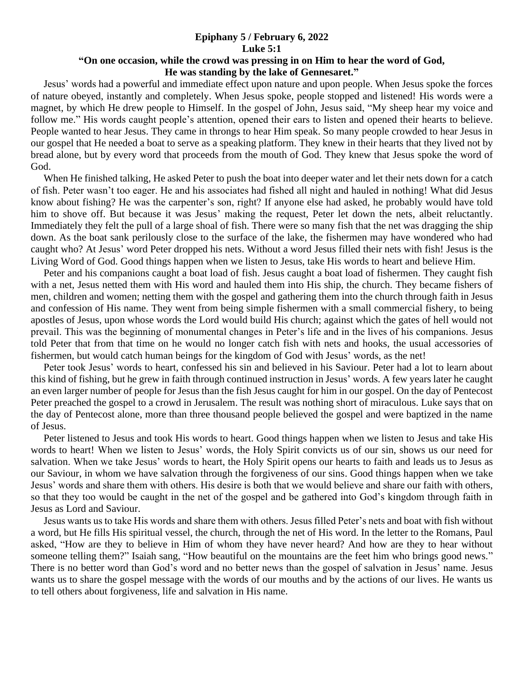## **Epiphany 5 / February 6, 2022 Luke 5:1**

## **"On one occasion, while the crowd was pressing in on Him to hear the word of God, He was standing by the lake of Gennesaret."**

 Jesus' words had a powerful and immediate effect upon nature and upon people. When Jesus spoke the forces of nature obeyed, instantly and completely. When Jesus spoke, people stopped and listened! His words were a magnet, by which He drew people to Himself. In the gospel of John, Jesus said, "My sheep hear my voice and follow me." His words caught people's attention, opened their ears to listen and opened their hearts to believe. People wanted to hear Jesus. They came in throngs to hear Him speak. So many people crowded to hear Jesus in our gospel that He needed a boat to serve as a speaking platform. They knew in their hearts that they lived not by bread alone, but by every word that proceeds from the mouth of God. They knew that Jesus spoke the word of God.

 When He finished talking, He asked Peter to push the boat into deeper water and let their nets down for a catch of fish. Peter wasn't too eager. He and his associates had fished all night and hauled in nothing! What did Jesus know about fishing? He was the carpenter's son, right? If anyone else had asked, he probably would have told him to shove off. But because it was Jesus' making the request, Peter let down the nets, albeit reluctantly. Immediately they felt the pull of a large shoal of fish. There were so many fish that the net was dragging the ship down. As the boat sank perilously close to the surface of the lake, the fishermen may have wondered who had caught who? At Jesus' word Peter dropped his nets. Without a word Jesus filled their nets with fish! Jesus is the Living Word of God. Good things happen when we listen to Jesus, take His words to heart and believe Him.

 Peter and his companions caught a boat load of fish. Jesus caught a boat load of fishermen. They caught fish with a net, Jesus netted them with His word and hauled them into His ship, the church. They became fishers of men, children and women; netting them with the gospel and gathering them into the church through faith in Jesus and confession of His name. They went from being simple fishermen with a small commercial fishery, to being apostles of Jesus, upon whose words the Lord would build His church; against which the gates of hell would not prevail. This was the beginning of monumental changes in Peter's life and in the lives of his companions. Jesus told Peter that from that time on he would no longer catch fish with nets and hooks, the usual accessories of fishermen, but would catch human beings for the kingdom of God with Jesus' words, as the net!

 Peter took Jesus' words to heart, confessed his sin and believed in his Saviour. Peter had a lot to learn about this kind of fishing, but he grew in faith through continued instruction in Jesus' words. A few years later he caught an even larger number of people for Jesus than the fish Jesus caught for him in our gospel. On the day of Pentecost Peter preached the gospel to a crowd in Jerusalem. The result was nothing short of miraculous. Luke says that on the day of Pentecost alone, more than three thousand people believed the gospel and were baptized in the name of Jesus.

 Peter listened to Jesus and took His words to heart. Good things happen when we listen to Jesus and take His words to heart! When we listen to Jesus' words, the Holy Spirit convicts us of our sin, shows us our need for salvation. When we take Jesus' words to heart, the Holy Spirit opens our hearts to faith and leads us to Jesus as our Saviour, in whom we have salvation through the forgiveness of our sins. Good things happen when we take Jesus' words and share them with others. His desire is both that we would believe and share our faith with others, so that they too would be caught in the net of the gospel and be gathered into God's kingdom through faith in Jesus as Lord and Saviour.

 Jesus wants us to take His words and share them with others. Jesus filled Peter's nets and boat with fish without a word, but He fills His spiritual vessel, the church, through the net of His word. In the letter to the Romans, Paul asked, "How are they to believe in Him of whom they have never heard? And how are they to hear without someone telling them?" Isaiah sang, "How beautiful on the mountains are the feet him who brings good news." There is no better word than God's word and no better news than the gospel of salvation in Jesus' name. Jesus wants us to share the gospel message with the words of our mouths and by the actions of our lives. He wants us to tell others about forgiveness, life and salvation in His name.